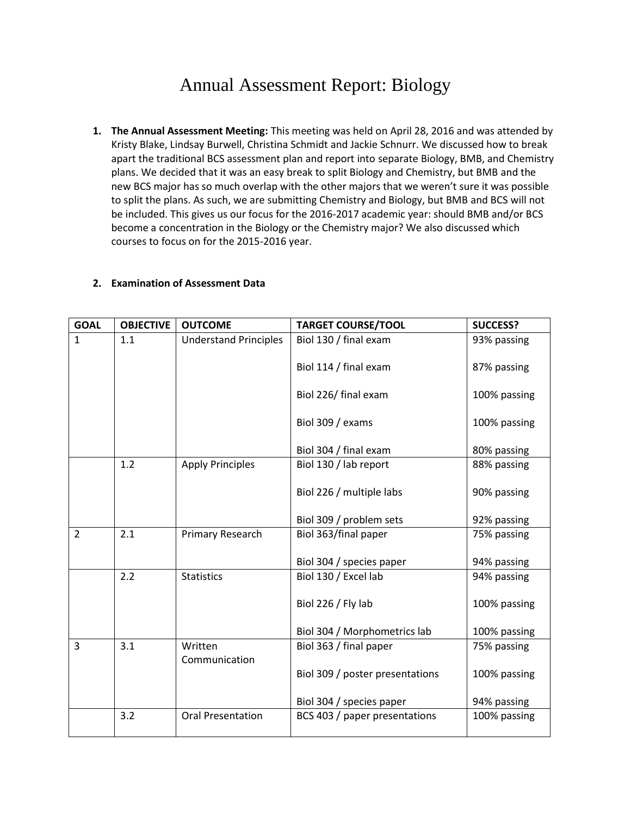## Annual Assessment Report: Biology

**1. The Annual Assessment Meeting:** This meeting was held on April 28, 2016 and was attended by Kristy Blake, Lindsay Burwell, Christina Schmidt and Jackie Schnurr. We discussed how to break apart the traditional BCS assessment plan and report into separate Biology, BMB, and Chemistry plans. We decided that it was an easy break to split Biology and Chemistry, but BMB and the new BCS major has so much overlap with the other majors that we weren't sure it was possible to split the plans. As such, we are submitting Chemistry and Biology, but BMB and BCS will not be included. This gives us our focus for the 2016-2017 academic year: should BMB and/or BCS become a concentration in the Biology or the Chemistry major? We also discussed which courses to focus on for the 2015-2016 year.

## **2. Examination of Assessment Data**

| <b>GOAL</b>    | <b>OBJECTIVE</b> | <b>OUTCOME</b>               | <b>TARGET COURSE/TOOL</b>       | <b>SUCCESS?</b> |
|----------------|------------------|------------------------------|---------------------------------|-----------------|
| $\mathbf{1}$   | 1.1              | <b>Understand Principles</b> | Biol 130 / final exam           | 93% passing     |
|                |                  |                              | Biol 114 / final exam           | 87% passing     |
|                |                  |                              | Biol 226/ final exam            | 100% passing    |
|                |                  |                              | Biol 309 / exams                | 100% passing    |
|                |                  |                              | Biol 304 / final exam           | 80% passing     |
|                | 1.2              | <b>Apply Principles</b>      | Biol 130 / lab report           | 88% passing     |
|                |                  |                              | Biol 226 / multiple labs        | 90% passing     |
|                |                  |                              | Biol 309 / problem sets         | 92% passing     |
| $\overline{2}$ | 2.1              | Primary Research             | Biol 363/final paper            | 75% passing     |
|                |                  |                              | Biol 304 / species paper        | 94% passing     |
|                | 2.2              | <b>Statistics</b>            | Biol 130 / Excel lab            | 94% passing     |
|                |                  |                              | Biol 226 / Fly lab              | 100% passing    |
|                |                  |                              | Biol 304 / Morphometrics lab    | 100% passing    |
| 3              | 3.1              | Written<br>Communication     | Biol 363 / final paper          | 75% passing     |
|                |                  |                              | Biol 309 / poster presentations | 100% passing    |
|                |                  |                              | Biol 304 / species paper        | 94% passing     |
|                | 3.2              | <b>Oral Presentation</b>     | BCS 403 / paper presentations   | 100% passing    |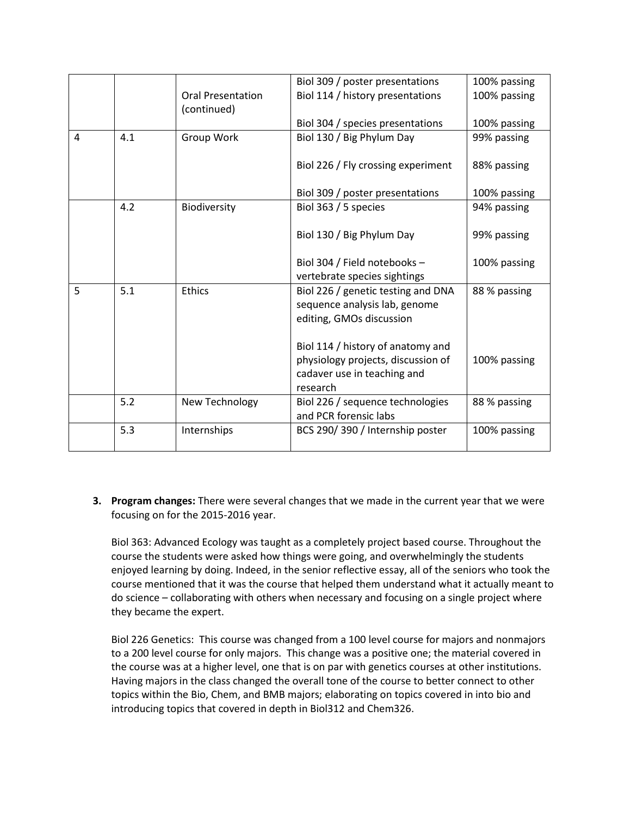|   |     |                          | Biol 309 / poster presentations    | 100% passing |
|---|-----|--------------------------|------------------------------------|--------------|
|   |     | <b>Oral Presentation</b> | Biol 114 / history presentations   | 100% passing |
|   |     | (continued)              |                                    |              |
|   |     |                          | Biol 304 / species presentations   | 100% passing |
| 4 | 4.1 | Group Work               | Biol 130 / Big Phylum Day          | 99% passing  |
|   |     |                          | Biol 226 / Fly crossing experiment | 88% passing  |
|   |     |                          | Biol 309 / poster presentations    | 100% passing |
|   | 4.2 | Biodiversity             | Biol 363 / 5 species               | 94% passing  |
|   |     |                          | Biol 130 / Big Phylum Day          | 99% passing  |
|   |     |                          | Biol 304 / Field notebooks -       | 100% passing |
| 5 | 5.1 |                          | vertebrate species sightings       |              |
|   |     | <b>Ethics</b>            | Biol 226 / genetic testing and DNA | 88 % passing |
|   |     |                          | sequence analysis lab, genome      |              |
|   |     |                          | editing, GMOs discussion           |              |
|   |     |                          | Biol 114 / history of anatomy and  |              |
|   |     |                          | physiology projects, discussion of | 100% passing |
|   |     |                          | cadaver use in teaching and        |              |
|   |     |                          | research                           |              |
|   | 5.2 | New Technology           | Biol 226 / sequence technologies   | 88 % passing |
|   |     |                          | and PCR forensic labs              |              |
|   | 5.3 | Internships              | BCS 290/390 / Internship poster    | 100% passing |
|   |     |                          |                                    |              |

**3. Program changes:** There were several changes that we made in the current year that we were focusing on for the 2015-2016 year.

Biol 363: Advanced Ecology was taught as a completely project based course. Throughout the course the students were asked how things were going, and overwhelmingly the students enjoyed learning by doing. Indeed, in the senior reflective essay, all of the seniors who took the course mentioned that it was the course that helped them understand what it actually meant to do science – collaborating with others when necessary and focusing on a single project where they became the expert.

Biol 226 Genetics: This course was changed from a 100 level course for majors and nonmajors to a 200 level course for only majors. This change was a positive one; the material covered in the course was at a higher level, one that is on par with genetics courses at other institutions. Having majors in the class changed the overall tone of the course to better connect to other topics within the Bio, Chem, and BMB majors; elaborating on topics covered in into bio and introducing topics that covered in depth in Biol312 and Chem326.